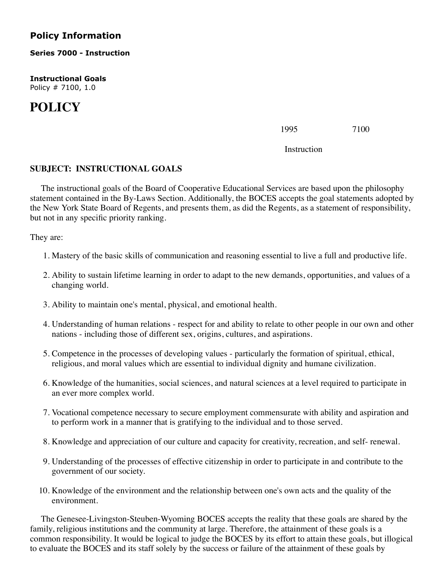## **Policy Information**

**Series 7000 - Instruction**

**Instructional Goals** Policy # 7100, 1.0

## **POLICY**

1995 7100

Instruction

## **SUBJECT: INSTRUCTIONAL GOALS**

 The instructional goals of the Board of Cooperative Educational Services are based upon the philosophy statement contained in the By-Laws Section. Additionally, the BOCES accepts the goal statements adopted by the New York State Board of Regents, and presents them, as did the Regents, as a statement of responsibility, but not in any specific priority ranking.

They are:

- 1. Mastery of the basic skills of communication and reasoning essential to live a full and productive life.
- 2. Ability to sustain lifetime learning in order to adapt to the new demands, opportunities, and values of a changing world.
- 3. Ability to maintain one's mental, physical, and emotional health.
- 4. Understanding of human relations respect for and ability to relate to other people in our own and other nations - including those of different sex, origins, cultures, and aspirations.
- 5. Competence in the processes of developing values particularly the formation of spiritual, ethical, religious, and moral values which are essential to individual dignity and humane civilization.
- 6. Knowledge of the humanities, social sciences, and natural sciences at a level required to participate in an ever more complex world.
- 7. Vocational competence necessary to secure employment commensurate with ability and aspiration and to perform work in a manner that is gratifying to the individual and to those served.
- 8. Knowledge and appreciation of our culture and capacity for creativity, recreation, and self- renewal.
- 9. Understanding of the processes of effective citizenship in order to participate in and contribute to the government of our society.
- 10. Knowledge of the environment and the relationship between one's own acts and the quality of the environment.

 The Genesee-Livingston-Steuben-Wyoming BOCES accepts the reality that these goals are shared by the family, religious institutions and the community at large. Therefore, the attainment of these goals is a common responsibility. It would be logical to judge the BOCES by its effort to attain these goals, but illogical to evaluate the BOCES and its staff solely by the success or failure of the attainment of these goals by